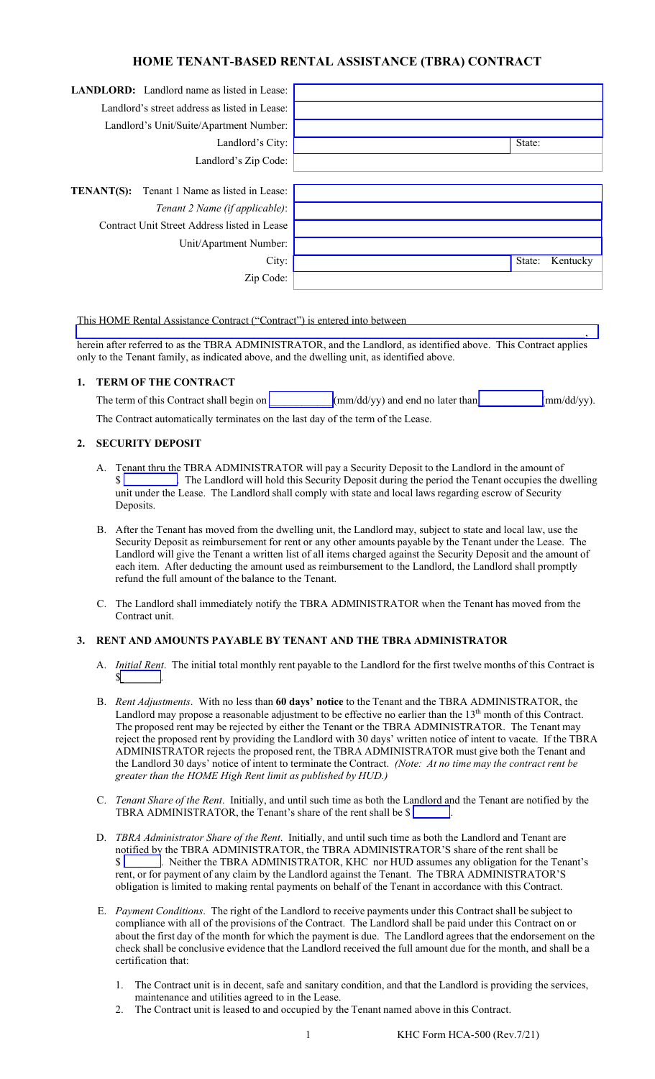# **HOME TENANT-BASED RENTAL ASSISTANCE (TBRA) CONTRACT**

| <b>LANDLORD:</b> Landlord name as listed in Lease:     |                    |  |
|--------------------------------------------------------|--------------------|--|
|                                                        |                    |  |
| Landlord's street address as listed in Lease:          |                    |  |
| Landlord's Unit/Suite/Apartment Number:                |                    |  |
| Landlord's City:                                       | State:             |  |
| Landlord's Zip Code:                                   |                    |  |
|                                                        |                    |  |
| Tenant 1 Name as listed in Lease:<br><b>TENANT(S):</b> |                    |  |
| Tenant 2 Name (if applicable):                         |                    |  |
| Contract Unit Street Address listed in Lease           |                    |  |
| Unit/Apartment Number:                                 |                    |  |
| City:                                                  | State:<br>Kentucky |  |
| Zip Code:                                              |                    |  |

#### This HOME Rental Assistance Contract ("Contract") is entered into between

 $\mathcal{L}_\mathcal{L} = \{ \mathcal{L}_\mathcal{L} = \{ \mathcal{L}_\mathcal{L} = \{ \mathcal{L}_\mathcal{L} = \{ \mathcal{L}_\mathcal{L} = \{ \mathcal{L}_\mathcal{L} = \{ \mathcal{L}_\mathcal{L} = \{ \mathcal{L}_\mathcal{L} = \{ \mathcal{L}_\mathcal{L} = \{ \mathcal{L}_\mathcal{L} = \{ \mathcal{L}_\mathcal{L} = \{ \mathcal{L}_\mathcal{L} = \{ \mathcal{L}_\mathcal{L} = \{ \mathcal{L}_\mathcal{L} = \{ \mathcal{L}_\mathcal{$ herein after referred to as the TBRA ADMINISTRATOR, and the Landlord, as identified above. This Contract applies only to the Tenant family, as indicated above, and the dwelling unit, as identified above.

#### **1. TERM OF THE CONTRACT**

| The term of this Contract shall begin on                                        | $\frac{1}{2}$ (mm/dd/yy) and end no later than | $\text{mm}/\text{dd}/\text{yy}$ ). |
|---------------------------------------------------------------------------------|------------------------------------------------|------------------------------------|
| The Contract automatically terminates on the last day of the term of the Lease. |                                                |                                    |

#### **2. SECURITY DEPOSIT**

- A. Tenant thru the TBRA ADMINISTRATOR will pay a Security Deposit to the Landlord in the amount of \$ unit under the Lease. The Landlord shall comply with state and local laws regarding escrow of Security Deposits.
- B. After the Tenant has moved from the dwelling unit, the Landlord may, subject to state and local law, use the Security Deposit as reimbursement for rent or any other amounts payable by the Tenant under the Lease. The Landlord will give the Tenant a written list of all items charged against the Security Deposit and the amount of each item. After deducting the amount used as reimbursement to the Landlord, the Landlord shall promptly refund the full amount of the balance to the Tenant.
- C. The Landlord shall immediately notify the TBRA ADMINISTRATOR when the Tenant has moved from the Contract unit.

### **3. RENT AND AMOUNTS PAYABLE BY TENANT AND THE TBRA ADMINISTRATOR**

- A. *Initial Rent*. The initial total monthly rent payable to the Landlord for the first twelve months of this Contract is  $\mathbf{s}$
- B. *Rent Adjustments*. With no less than **60 days' notice** to the Tenant and the TBRA ADMINISTRATOR, the Landlord may propose a reasonable adjustment to be effective no earlier than the 13<sup>th</sup> month of this Contract. The proposed rent may be rejected by either the Tenant or the TBRA ADMINISTRATOR. The Tenant may reject the proposed rent by providing the Landlord with 30 days' written notice of intent to vacate. If the TBRA ADMINISTRATOR rejects the proposed rent, the TBRA ADMINISTRATOR must give both the Tenant and the Landlord 30 days' notice of intent to terminate the Contract. *(Note: At no time may the contract rent be greater than the HOME High Rent limit as published by HUD.)*
- C. *Tenant Share of the Rent*. Initially, and until such time as both the Landlord and the Tenant are notified by the TBRA ADMINISTRATOR, the Tenant's share of the rent shall be  $\{$
- D. *TBRA Administrator Share of the Rent*. Initially, and until such time as both the Landlord and Tenant are notified by the TBRA ADMINISTRATOR, the TBRA ADMINISTRATOR'S share of the rent shall be \$ \_\_\_\_\_\_\_. Neither the TBRA ADMINISTRATOR, KHC nor HUD assumes any obligation for the Tenant's rent, or for payment of any claim by the Landlord against the Tenant. The TBRA ADMINISTRATOR'S obligation is limited to making rental payments on behalf of the Tenant in accordance with this Contract.
- E. *Payment Conditions*. The right of the Landlord to receive payments under this Contract shall be subject to compliance with all of the provisions of the Contract. The Landlord shall be paid under this Contract on or about the first day of the month for which the payment is due. The Landlord agrees that the endorsement on the check shall be conclusive evidence that the Landlord received the full amount due for the month, and shall be a certification that:
	- 1. The Contract unit is in decent, safe and sanitary condition, and that the Landlord is providing the services, maintenance and utilities agreed to in the Lease.
	- 2. The Contract unit is leased to and occupied by the Tenant named above in this Contract.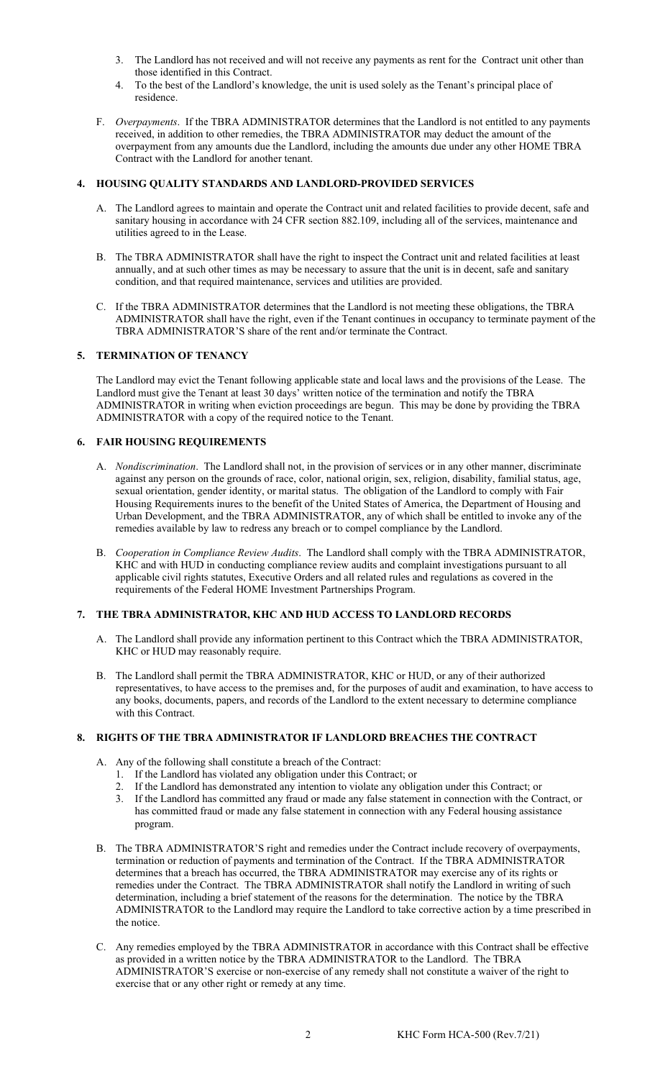- 3. The Landlord has not received and will not receive any payments as rent for the Contract unit other than those identified in this Contract.
- 4. To the best of the Landlord's knowledge, the unit is used solely as the Tenant's principal place of residence.
- F. *Overpayments*. If the TBRA ADMINISTRATOR determines that the Landlord is not entitled to any payments received, in addition to other remedies, the TBRA ADMINISTRATOR may deduct the amount of the overpayment from any amounts due the Landlord, including the amounts due under any other HOME TBRA Contract with the Landlord for another tenant.

## **4. HOUSING QUALITY STANDARDS AND LANDLORD-PROVIDED SERVICES**

- A. The Landlord agrees to maintain and operate the Contract unit and related facilities to provide decent, safe and sanitary housing in accordance with 24 CFR section 882.109, including all of the services, maintenance and utilities agreed to in the Lease.
- B. The TBRA ADMINISTRATOR shall have the right to inspect the Contract unit and related facilities at least annually, and at such other times as may be necessary to assure that the unit is in decent, safe and sanitary condition, and that required maintenance, services and utilities are provided.
- C. If the TBRA ADMINISTRATOR determines that the Landlord is not meeting these obligations, the TBRA ADMINISTRATOR shall have the right, even if the Tenant continues in occupancy to terminate payment of the TBRA ADMINISTRATOR'S share of the rent and/or terminate the Contract.

## **5. TERMINATION OF TENANCY**

The Landlord may evict the Tenant following applicable state and local laws and the provisions of the Lease. The Landlord must give the Tenant at least 30 days' written notice of the termination and notify the TBRA ADMINISTRATOR in writing when eviction proceedings are begun. This may be done by providing the TBRA ADMINISTRATOR with a copy of the required notice to the Tenant.

## **6. FAIR HOUSING REQUIREMENTS**

- A. *Nondiscrimination*. The Landlord shall not, in the provision of services or in any other manner, discriminate against any person on the grounds of race, color, national origin, sex, religion, disability, familial status, age, sexual orientation, gender identity, or marital status. The obligation of the Landlord to comply with Fair Housing Requirements inures to the benefit of the United States of America, the Department of Housing and Urban Development, and the TBRA ADMINISTRATOR, any of which shall be entitled to invoke any of the remedies available by law to redress any breach or to compel compliance by the Landlord.
- B. *Cooperation in Compliance Review Audits*. The Landlord shall comply with the TBRA ADMINISTRATOR, KHC and with HUD in conducting compliance review audits and complaint investigations pursuant to all applicable civil rights statutes, Executive Orders and all related rules and regulations as covered in the requirements of the Federal HOME Investment Partnerships Program.

### **7. THE TBRA ADMINISTRATOR, KHC AND HUD ACCESS TO LANDLORD RECORDS**

- A. The Landlord shall provide any information pertinent to this Contract which the TBRA ADMINISTRATOR, KHC or HUD may reasonably require.
- B. The Landlord shall permit the TBRA ADMINISTRATOR, KHC or HUD, or any of their authorized representatives, to have access to the premises and, for the purposes of audit and examination, to have access to any books, documents, papers, and records of the Landlord to the extent necessary to determine compliance with this Contract.

## **8. RIGHTS OF THE TBRA ADMINISTRATOR IF LANDLORD BREACHES THE CONTRACT**

- A. Any of the following shall constitute a breach of the Contract:
	- 1. If the Landlord has violated any obligation under this Contract; or
	- 2. If the Landlord has demonstrated any intention to violate any obligation under this Contract; or
	- 3. If the Landlord has committed any fraud or made any false statement in connection with the Contract, or has committed fraud or made any false statement in connection with any Federal housing assistance program.
- B. The TBRA ADMINISTRATOR'S right and remedies under the Contract include recovery of overpayments, termination or reduction of payments and termination of the Contract. If the TBRA ADMINISTRATOR determines that a breach has occurred, the TBRA ADMINISTRATOR may exercise any of its rights or remedies under the Contract. The TBRA ADMINISTRATOR shall notify the Landlord in writing of such determination, including a brief statement of the reasons for the determination. The notice by the TBRA ADMINISTRATOR to the Landlord may require the Landlord to take corrective action by a time prescribed in the notice.
- C. Any remedies employed by the TBRA ADMINISTRATOR in accordance with this Contract shall be effective as provided in a written notice by the TBRA ADMINISTRATOR to the Landlord. The TBRA ADMINISTRATOR'S exercise or non-exercise of any remedy shall not constitute a waiver of the right to exercise that or any other right or remedy at any time.